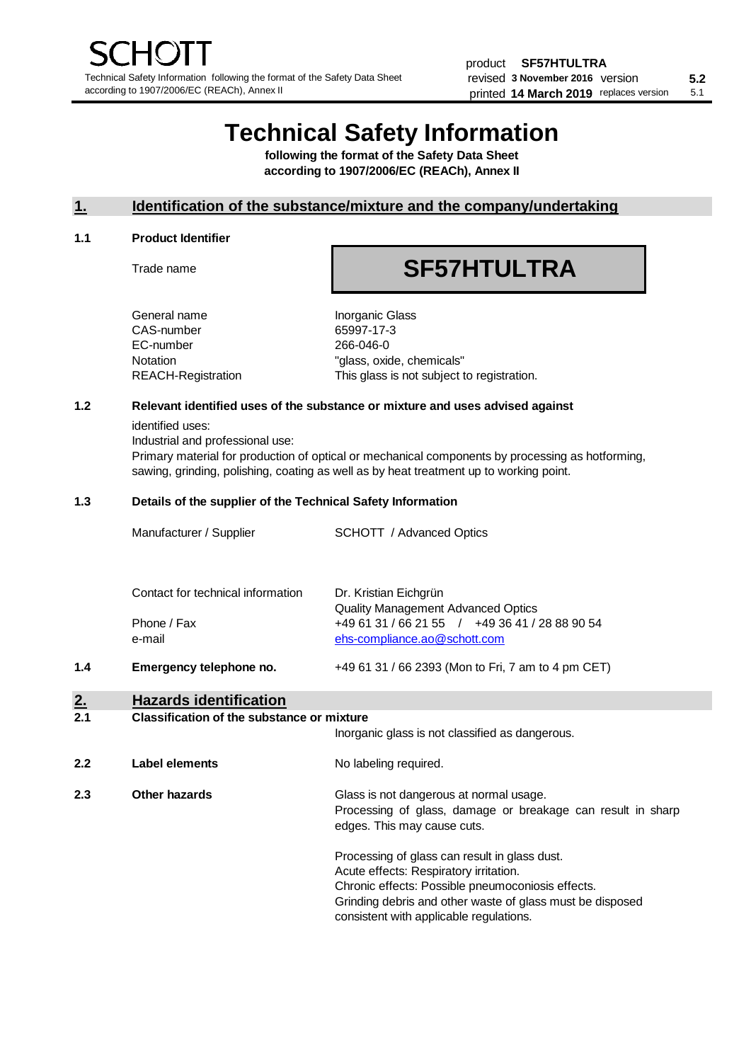# **Technical Safety Information**

**following the format of the Safety Data Sheet according to 1907/2006/EC (REACh), Annex II**

# **1. Identification of the substance/mixture and the company/undertaking**

### **1.1 Product Identifier**

Trade name

# **SF57HTULTRA**

General name **Inorganic Glass** CAS-number 65997-17-3 EC-number 266-046-0

Notation The Contract of Transaction Notation Notation Notation Number of Transaction Number of Transaction Number of Transaction Number of Transaction Number of Transaction Number of Transaction Number of Transaction Numb REACH-Registration This glass is not subject to registration.

### **1.2 Relevant identified uses of the substance or mixture and uses advised against**

identified uses:

Industrial and professional use:

Primary material for production of optical or mechanical components by processing as hotforming, sawing, grinding, polishing, coating as well as by heat treatment up to working point.

### **1.3 Details of the supplier of the Technical Safety Information**

|     | Manufacturer / Supplier           | SCHOTT / Advanced Optics                                                       |
|-----|-----------------------------------|--------------------------------------------------------------------------------|
|     | Contact for technical information | Dr. Kristian Eichgrün<br><b>Quality Management Advanced Optics</b>             |
|     | Phone / Fax<br>e-mail             | +49 61 31 / 66 21 55 / +49 36 41 / 28 88 90 54<br>ehs-compliance.ao@schott.com |
| 1.4 | Emergency telephone no.           | $+496131/662393$ (Mon to Fri, 7 am to 4 pm CET)                                |

# **2. Hazards identification**

# **2.1 Classification of the substance or mixture**

|     |                | Inorganic glass is not classified as dangerous.                                                                                                                                                                                                      |
|-----|----------------|------------------------------------------------------------------------------------------------------------------------------------------------------------------------------------------------------------------------------------------------------|
| 2.2 | Label elements | No labeling required.                                                                                                                                                                                                                                |
| 2.3 | Other hazards  | Glass is not dangerous at normal usage.<br>Processing of glass, damage or breakage can result in sharp<br>edges. This may cause cuts.                                                                                                                |
|     |                | Processing of glass can result in glass dust.<br>Acute effects: Respiratory irritation.<br>Chronic effects: Possible pneumoconiosis effects.<br>Grinding debris and other waste of glass must be disposed<br>consistent with applicable regulations. |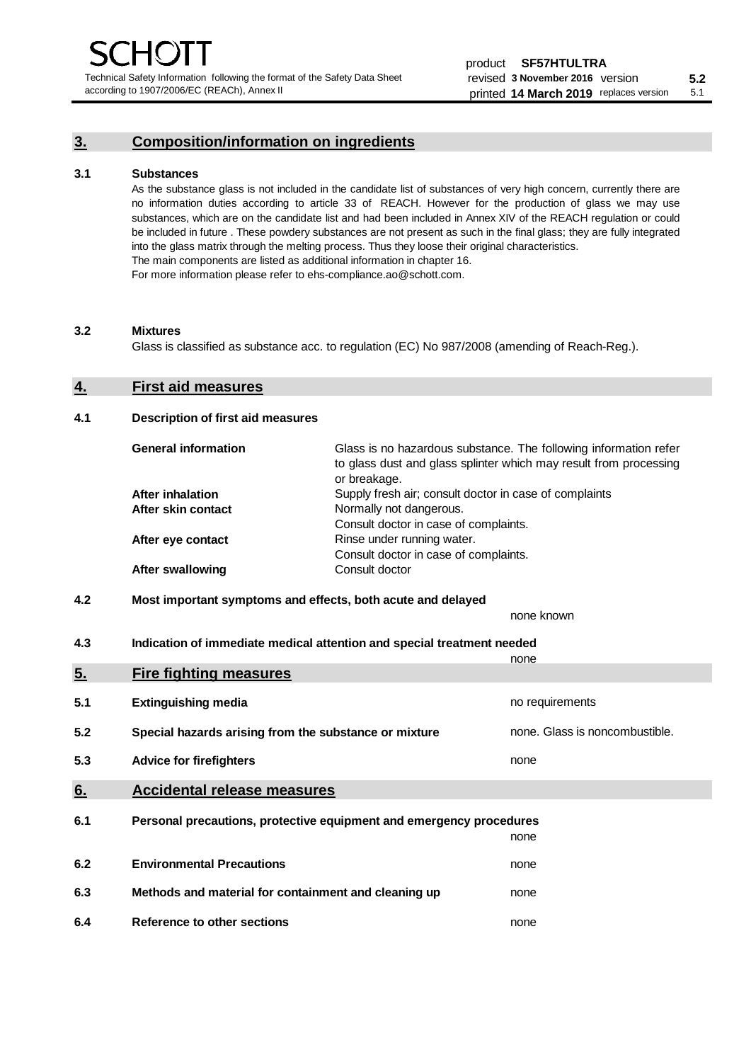Technical Safety Information following the format of the Safety Data Sheet according to 1907/2006/EC (REACh), Annex II

# **3. Composition/information on ingredients**

### **3.1 Substances**

As the substance glass is not included in the candidate list of substances of very high concern, currently there are no information duties according to article 33 of REACH. However for the production of glass we may use substances, which are on the candidate list and had been included in Annex XIV of the REACH regulation or could be included in future . These powdery substances are not present as such in the final glass; they are fully integrated into the glass matrix through the melting process. Thus they loose their original characteristics. The main components are listed as additional information in chapter 16. For more information please refer to ehs-compliance.ao@schott.com.

#### **3.2 Mixtures**

Glass is classified as substance acc. to regulation (EC) No 987/2008 (amending of Reach-Reg.).

# **4. First aid measures**

## **4.1 Description of first aid measures**

| <b>General information</b> | Glass is no hazardous substance. The following information refer<br>to glass dust and glass splinter which may result from processing<br>or breakage. |
|----------------------------|-------------------------------------------------------------------------------------------------------------------------------------------------------|
| <b>After inhalation</b>    | Supply fresh air; consult doctor in case of complaints                                                                                                |
| After skin contact         | Normally not dangerous.                                                                                                                               |
|                            | Consult doctor in case of complaints.                                                                                                                 |
| After eye contact          | Rinse under running water.                                                                                                                            |
|                            | Consult doctor in case of complaints.                                                                                                                 |
| <b>After swallowing</b>    | Consult doctor                                                                                                                                        |

# **4.2 Most important symptoms and effects, both acute and delayed**

none known **4.3 Indication of immediate medical attention and special treatment needed** 

|     |                                                                     | none                           |
|-----|---------------------------------------------------------------------|--------------------------------|
| 5.  | <b>Fire fighting measures</b>                                       |                                |
| 5.1 | <b>Extinguishing media</b>                                          | no requirements                |
| 5.2 | Special hazards arising from the substance or mixture               | none. Glass is noncombustible. |
| 5.3 | <b>Advice for firefighters</b>                                      | none                           |
| 6.  | <b>Accidental release measures</b>                                  |                                |
| 6.1 | Personal precautions, protective equipment and emergency procedures |                                |
|     |                                                                     | none                           |
| 6.2 | <b>Environmental Precautions</b>                                    | none                           |
| 6.3 | Methods and material for containment and cleaning up                | none                           |
| 6.4 | Reference to other sections                                         | none                           |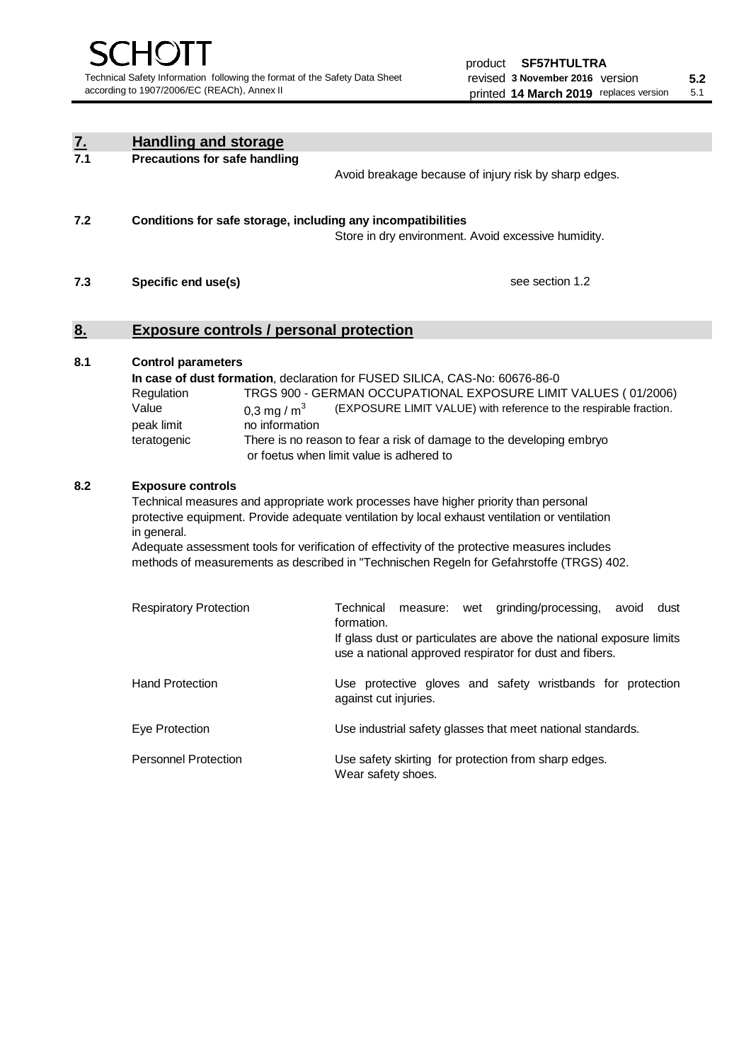| <u>7.</u><br>7.1 | <b>Handling and storage</b>                                                                                      |                                                                                                                                                                                                                                                                                                                                                                                     |
|------------------|------------------------------------------------------------------------------------------------------------------|-------------------------------------------------------------------------------------------------------------------------------------------------------------------------------------------------------------------------------------------------------------------------------------------------------------------------------------------------------------------------------------|
|                  | <b>Precautions for safe handling</b>                                                                             | Avoid breakage because of injury risk by sharp edges.                                                                                                                                                                                                                                                                                                                               |
| 7.2              | Conditions for safe storage, including any incompatibilities                                                     | Store in dry environment. Avoid excessive humidity.                                                                                                                                                                                                                                                                                                                                 |
| 7.3              | Specific end use(s)                                                                                              | see section 1.2                                                                                                                                                                                                                                                                                                                                                                     |
| <u>8.</u>        | <b>Exposure controls / personal protection</b>                                                                   |                                                                                                                                                                                                                                                                                                                                                                                     |
| 8.1              | <b>Control parameters</b><br>Regulation<br>Value<br>0,3 mg / $m3$<br>no information<br>peak limit<br>teratogenic | In case of dust formation, declaration for FUSED SILICA, CAS-No: 60676-86-0<br>TRGS 900 - GERMAN OCCUPATIONAL EXPOSURE LIMIT VALUES (01/2006)<br>(EXPOSURE LIMIT VALUE) with reference to the respirable fraction.<br>There is no reason to fear a risk of damage to the developing embryo<br>or foetus when limit value is adhered to                                              |
| 8.2              | <b>Exposure controls</b><br>in general.                                                                          | Technical measures and appropriate work processes have higher priority than personal<br>protective equipment. Provide adequate ventilation by local exhaust ventilation or ventilation<br>Adequate assessment tools for verification of effectivity of the protective measures includes<br>methods of measurements as described in "Technischen Regeln for Gefahrstoffe (TRGS) 402. |
|                  | <b>Respiratory Protection</b>                                                                                    | Technical<br>grinding/processing,<br>avoid<br>dust<br>measure: wet<br>formation.<br>If glass dust or particulates are above the national exposure limits<br>use a national approved respirator for dust and fibers.                                                                                                                                                                 |
|                  | <b>Hand Protection</b>                                                                                           | Use protective gloves and safety wristbands for protection<br>against cut injuries.                                                                                                                                                                                                                                                                                                 |
|                  | Eye Protection                                                                                                   | Use industrial safety glasses that meet national standards.                                                                                                                                                                                                                                                                                                                         |
|                  | <b>Personnel Protection</b>                                                                                      | Use safety skirting for protection from sharp edges.<br>Wear safety shoes.                                                                                                                                                                                                                                                                                                          |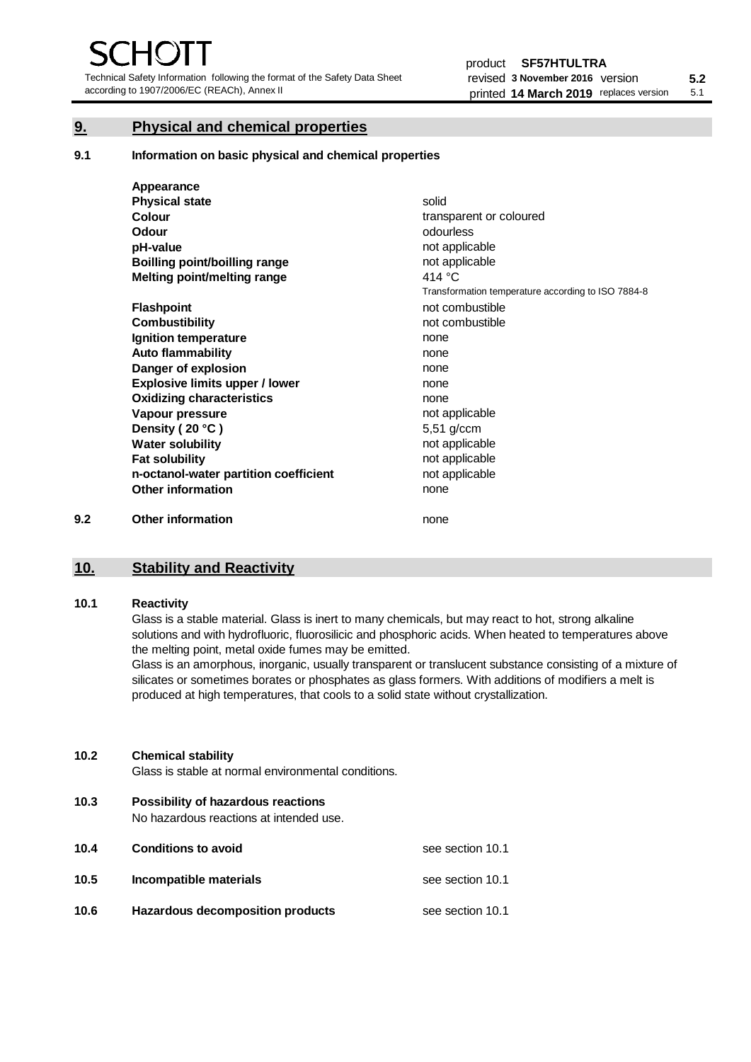Technical Safety Information following the format of the Safety Data Sheet according to 1907/2006/EC (REACh), Annex II

# **9. Physical and chemical properties**

**9.1 Information on basic physical and chemical properties**

|     | Appearance                            |                                                    |
|-----|---------------------------------------|----------------------------------------------------|
|     | <b>Physical state</b>                 | solid                                              |
|     | <b>Colour</b>                         | transparent or coloured                            |
|     | Odour                                 | odourless                                          |
|     | pH-value                              | not applicable                                     |
|     | <b>Boilling point/boilling range</b>  | not applicable                                     |
|     | Melting point/melting range           | 414 $\degree$ C                                    |
|     |                                       | Transformation temperature according to ISO 7884-8 |
|     | <b>Flashpoint</b>                     | not combustible                                    |
|     | <b>Combustibility</b>                 | not combustible                                    |
|     | Ignition temperature                  | none                                               |
|     | <b>Auto flammability</b>              | none                                               |
|     | Danger of explosion                   | none                                               |
|     | <b>Explosive limits upper / lower</b> | none                                               |
|     | <b>Oxidizing characteristics</b>      | none                                               |
|     | Vapour pressure                       | not applicable                                     |
|     | Density (20 °C)                       | 5,51 g/ccm                                         |
|     | <b>Water solubility</b>               | not applicable                                     |
|     | <b>Fat solubility</b>                 | not applicable                                     |
|     | n-octanol-water partition coefficient | not applicable                                     |
|     | <b>Other information</b>              | none                                               |
| 9.2 | <b>Other information</b>              | none                                               |

# **10. Stability and Reactivity**

# **10.1 Reactivity**

Glass is a stable material. Glass is inert to many chemicals, but may react to hot, strong alkaline solutions and with hydrofluoric, fluorosilicic and phosphoric acids. When heated to temperatures above the melting point, metal oxide fumes may be emitted.

Glass is an amorphous, inorganic, usually transparent or translucent substance consisting of a mixture of silicates or sometimes borates or phosphates as glass formers. With additions of modifiers a melt is produced at high temperatures, that cools to a solid state without crystallization.

# **10.2 Chemical stability**

Glass is stable at normal environmental conditions.

**10.3 Possibility of hazardous reactions** 

No hazardous reactions at intended use.

| 10.4 | <b>Conditions to avoid</b>       | see section 10.1 |
|------|----------------------------------|------------------|
| 10.5 | Incompatible materials           | see section 10.1 |
| 10.6 | Hazardous decomposition products | see section 10.1 |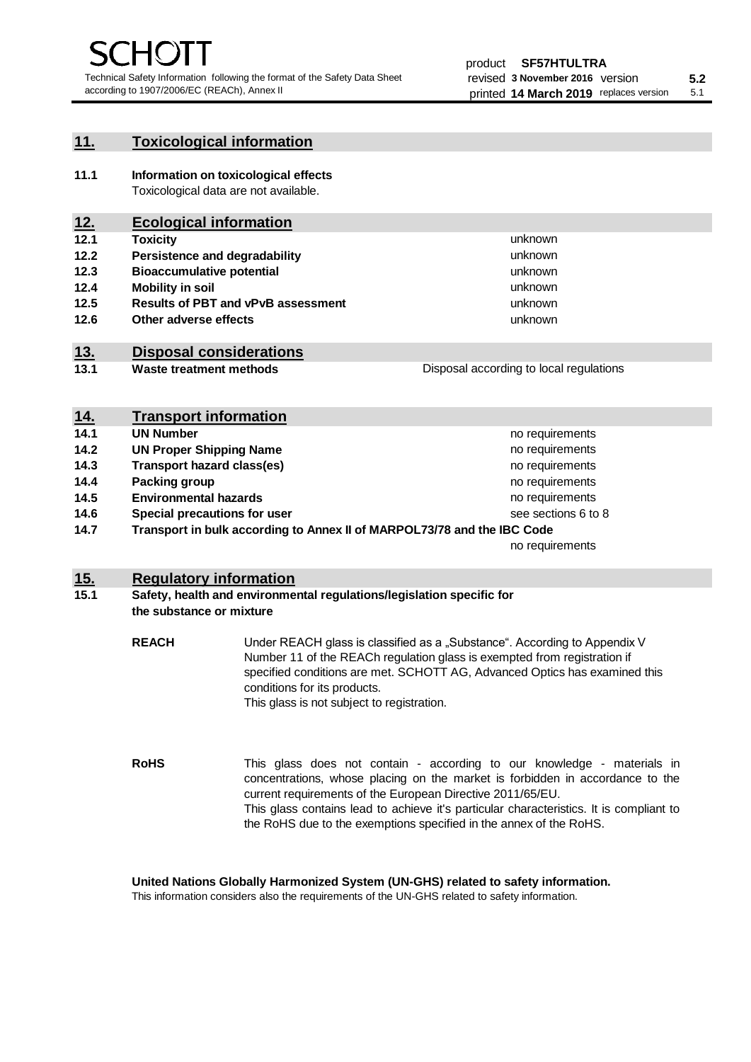unknown unknown unknown

unknown unknown unknown

Disposal according to local regulations

# **11. Toxicological information**

**11.1 Information on toxicological effects** Toxicological data are not available.

# **12. Ecological information**

- **12.1 Toxicity**
- **12.2 Persistence and degradability**
- **12.3 Bioaccumulative potential**
- **12.4 Mobility in soil**
- **12.5 Results of PBT and vPvB assessment**
- **12.6 Other adverse effects**

# **13. Disposal considerations**

**13.1 Waste treatment methods**

| <u>14.</u> | <b>Transport information</b>                                            |                     |
|------------|-------------------------------------------------------------------------|---------------------|
| 14.1       | <b>UN Number</b>                                                        | no requirements     |
| 14.2       | <b>UN Proper Shipping Name</b>                                          | no requirements     |
| 14.3       | <b>Transport hazard class(es)</b>                                       | no requirements     |
| 14.4       | Packing group                                                           | no requirements     |
| 14.5       | <b>Environmental hazards</b>                                            | no requirements     |
| 14.6       | Special precautions for user                                            | see sections 6 to 8 |
| 14.7       | Transport in bulk according to Annex II of MARPOL73/78 and the IBC Code |                     |
|            |                                                                         | no requirements     |

# **15. Regulatory information**

## **15.1 Safety, health and environmental regulations/legislation specific for the substance or mixture**

**REACH** Under REACH glass is classified as a "Substance". According to Appendix V Number 11 of the REACh regulation glass is exempted from registration if specified conditions are met. SCHOTT AG, Advanced Optics has examined this conditions for its products. This glass is not subject to registration.

**RoHS** This glass does not contain - according to our knowledge - materials in concentrations, whose placing on the market is forbidden in accordance to the current requirements of the European Directive 2011/65/EU. This glass contains lead to achieve it's particular characteristics. It is compliant to the RoHS due to the exemptions specified in the annex of the RoHS.

**United Nations Globally Harmonized System (UN-GHS) related to safety information.**

This information considers also the requirements of the UN-GHS related to safety information.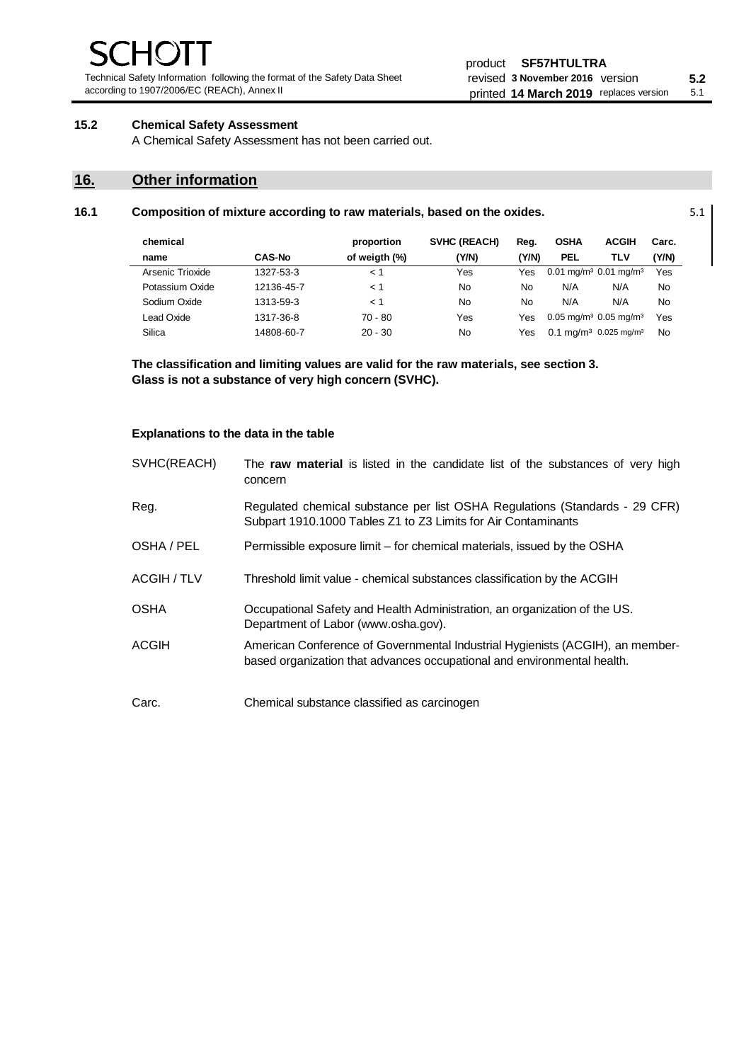Technical Safety Information following the format of the Safety Data Sheet according to 1907/2006/EC (REACh), Annex II

# **15.2 Chemical Safety Assessment**

A Chemical Safety Assessment has not been carried out.

# **16. Other information**

| 16.1 | Composition of mixture according to raw materials, based on the oxides. |               |               |              |       |             |                                                 |       | 5.1 |
|------|-------------------------------------------------------------------------|---------------|---------------|--------------|-------|-------------|-------------------------------------------------|-------|-----|
|      | chemical                                                                |               | proportion    | SVHC (REACH) | Reg.  | <b>OSHA</b> | <b>ACGIH</b>                                    | Carc. |     |
|      | name                                                                    | <b>CAS-No</b> | of weigth (%) | (Y/N)        | (Y/N) | <b>PEL</b>  | TLV                                             | (Y/N) |     |
|      | Arsenic Trioxide                                                        | 1327-53-3     | ← 1           | Yes          | Yes   |             | $0.01$ mg/m <sup>3</sup> 0.01 mg/m <sup>3</sup> | Yes   |     |
|      | Potassium Oxide                                                         | 12136-45-7    | $\lt 1$       | No           | No    | N/A         | N/A                                             | No.   |     |
|      | Sodium Oxide                                                            | 1313-59-3     | $\lt$ 1       | No           | No    | N/A         | N/A                                             | No.   |     |
|      | Lead Oxide                                                              | 1317-36-8     | $70 - 80$     | Yes          | Yes   |             | $0.05$ mg/m <sup>3</sup> 0.05 mg/m <sup>3</sup> | Yes   |     |
|      | Silica                                                                  | 14808-60-7    | $20 - 30$     | No           | Yes   |             | 0.1 mg/m <sup>3</sup> 0.025 mg/m <sup>3</sup>   | No    |     |

**The classification and limiting values are valid for the raw materials, see section 3. Glass is not a substance of very high concern (SVHC).**

### **Explanations to the data in the table**

| SVHC(REACH) | The raw material is listed in the candidate list of the substances of very high<br>concern                                                               |
|-------------|----------------------------------------------------------------------------------------------------------------------------------------------------------|
| Reg.        | Regulated chemical substance per list OSHA Regulations (Standards - 29 CFR)<br>Subpart 1910.1000 Tables Z1 to Z3 Limits for Air Contaminants             |
| OSHA / PEL  | Permissible exposure limit – for chemical materials, issued by the OSHA                                                                                  |
| ACGIH / TLV | Threshold limit value - chemical substances classification by the ACGIH                                                                                  |
| <b>OSHA</b> | Occupational Safety and Health Administration, an organization of the US.<br>Department of Labor (www.osha.gov).                                         |
| ACGIH       | American Conference of Governmental Industrial Hygienists (ACGIH), an member-<br>based organization that advances occupational and environmental health. |
| Carc.       | Chemical substance classified as carcinogen                                                                                                              |